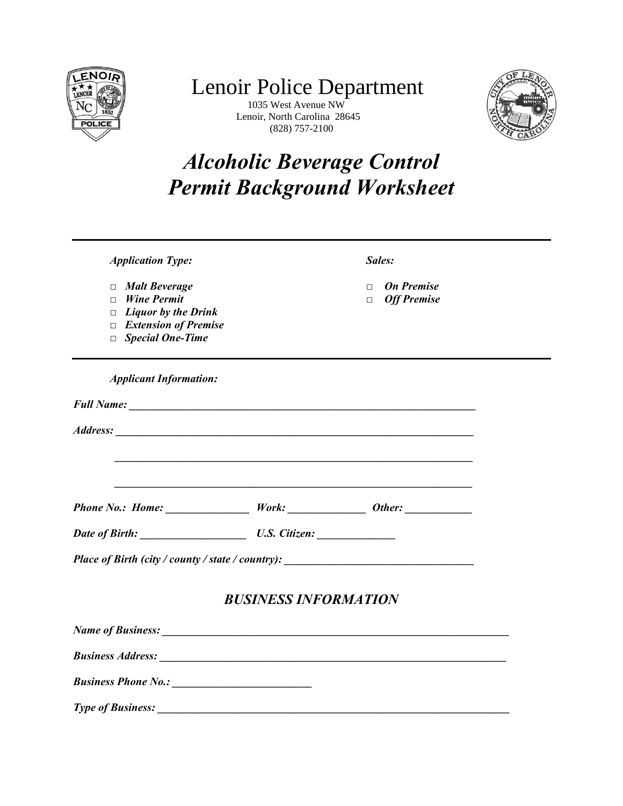

## $\frac{L}{\text{F}}$  Lenoir Police Department

 $\begin{array}{c} \text{C} \setminus \text{RST} \\ \text{RST} \end{array}$  Lenoir, North Carolina 28645  $\frac{1851}{\text{POLICE}}$  Lenoir, North Carolina 28645<br>(828) 757-2100



## *Alcoholic Beverage Control Permit Background Worksheet*

| <b>Application Type:</b>                                                                                                                     |                             | Sales:                                                      |  |
|----------------------------------------------------------------------------------------------------------------------------------------------|-----------------------------|-------------------------------------------------------------|--|
| $\Box$ Malt Beverage<br><b>Wine Permit</b><br>$\Box$<br>$\Box$ Liquor by the Drink<br>$\Box$ Extension of Premise<br>$\Box$ Special One-Time |                             | <b>On Premise</b><br>$\Box$<br><b>Off Premise</b><br>$\Box$ |  |
| <b>Applicant Information:</b>                                                                                                                |                             |                                                             |  |
|                                                                                                                                              |                             |                                                             |  |
|                                                                                                                                              |                             |                                                             |  |
|                                                                                                                                              |                             |                                                             |  |
|                                                                                                                                              |                             |                                                             |  |
|                                                                                                                                              |                             |                                                             |  |
| Date of Birth: U.S. Citizen:                                                                                                                 |                             |                                                             |  |
| Place of Birth (city / county / state / country): _______________________________                                                            |                             |                                                             |  |
|                                                                                                                                              | <b>BUSINESS INFORMATION</b> |                                                             |  |
|                                                                                                                                              |                             |                                                             |  |
|                                                                                                                                              |                             |                                                             |  |
|                                                                                                                                              |                             |                                                             |  |
|                                                                                                                                              |                             |                                                             |  |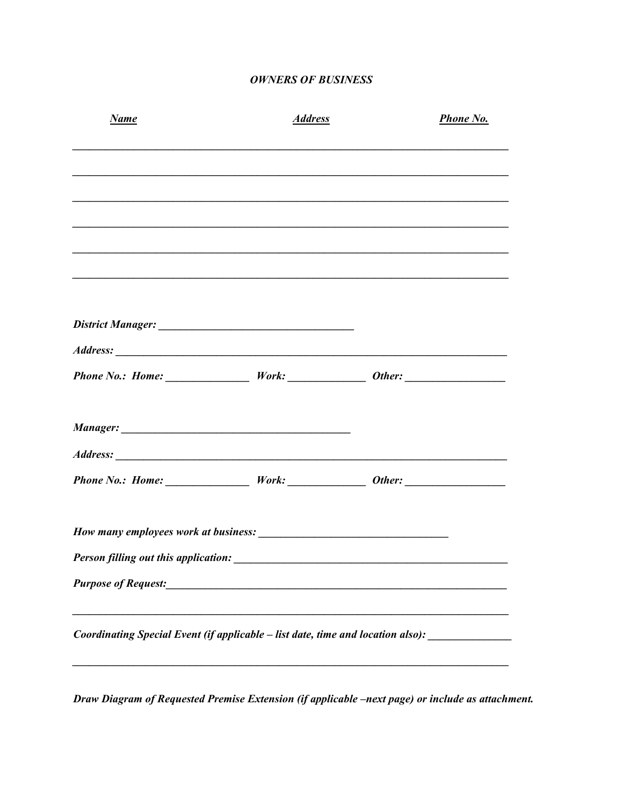## **OWNERS OF BUSINESS**

| <b>Name</b>                                                                                          | <b>Address</b>                                       | <b>Phone No.</b> |
|------------------------------------------------------------------------------------------------------|------------------------------------------------------|------------------|
|                                                                                                      |                                                      |                  |
|                                                                                                      |                                                      |                  |
|                                                                                                      |                                                      |                  |
|                                                                                                      |                                                      |                  |
|                                                                                                      |                                                      |                  |
|                                                                                                      |                                                      |                  |
|                                                                                                      |                                                      |                  |
|                                                                                                      |                                                      |                  |
|                                                                                                      |                                                      |                  |
|                                                                                                      |                                                      |                  |
|                                                                                                      |                                                      |                  |
|                                                                                                      |                                                      |                  |
| Person filling out this application:                                                                 |                                                      |                  |
| <b>Purpose of Request:</b>                                                                           | <u> 1980 - Jan Barnett, fransk politik (d. 1980)</u> |                  |
| Coordinating Special Event (if applicable – list date, time and location also): ____________________ |                                                      |                  |
|                                                                                                      |                                                      |                  |

Draw Diagram of Requested Premise Extension (if applicable -next page) or include as attachment.